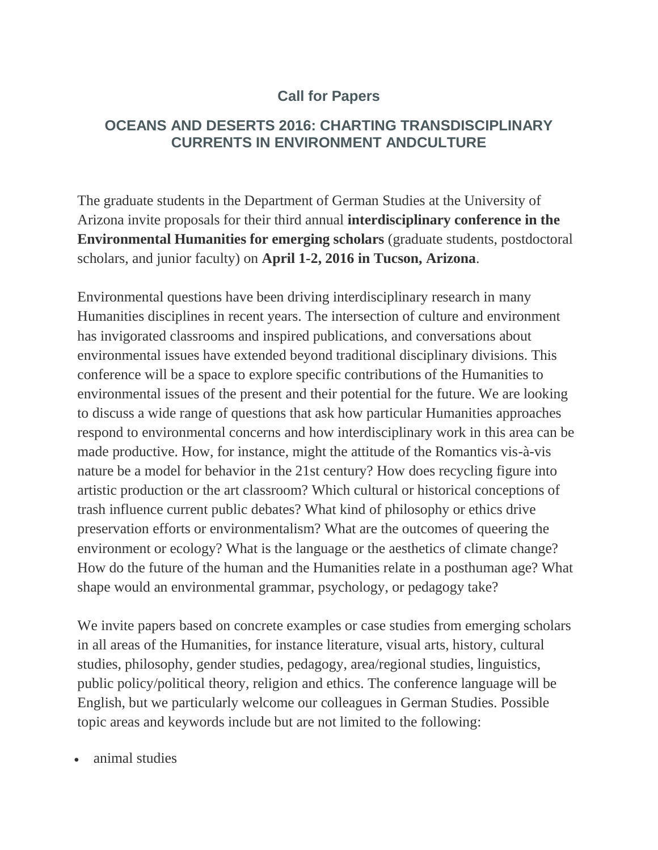## **Call for Papers**

## **OCEANS AND DESERTS 2016: CHARTING TRANSDISCIPLINARY CURRENTS IN ENVIRONMENT ANDCULTURE**

The graduate students in the Department of German Studies at the University of Arizona invite proposals for their third annual **interdisciplinary conference in the Environmental Humanities for emerging scholars** (graduate students, postdoctoral scholars, and junior faculty) on **April 1-2, 2016 in Tucson, Arizona**.

Environmental questions have been driving interdisciplinary research in many Humanities disciplines in recent years. The intersection of culture and environment has invigorated classrooms and inspired publications, and conversations about environmental issues have extended beyond traditional disciplinary divisions. This conference will be a space to explore specific contributions of the Humanities to environmental issues of the present and their potential for the future. We are looking to discuss a wide range of questions that ask how particular Humanities approaches respond to environmental concerns and how interdisciplinary work in this area can be made productive. How, for instance, might the attitude of the Romantics vis-à-vis nature be a model for behavior in the 21st century? How does recycling figure into artistic production or the art classroom? Which cultural or historical conceptions of trash influence current public debates? What kind of philosophy or ethics drive preservation efforts or environmentalism? What are the outcomes of queering the environment or ecology? What is the language or the aesthetics of climate change? How do the future of the human and the Humanities relate in a posthuman age? What shape would an environmental grammar, psychology, or pedagogy take?

We invite papers based on concrete examples or case studies from emerging scholars in all areas of the Humanities, for instance literature, visual arts, history, cultural studies, philosophy, gender studies, pedagogy, area/regional studies, linguistics, public policy/political theory, religion and ethics. The conference language will be English, but we particularly welcome our colleagues in German Studies. Possible topic areas and keywords include but are not limited to the following:

animal studies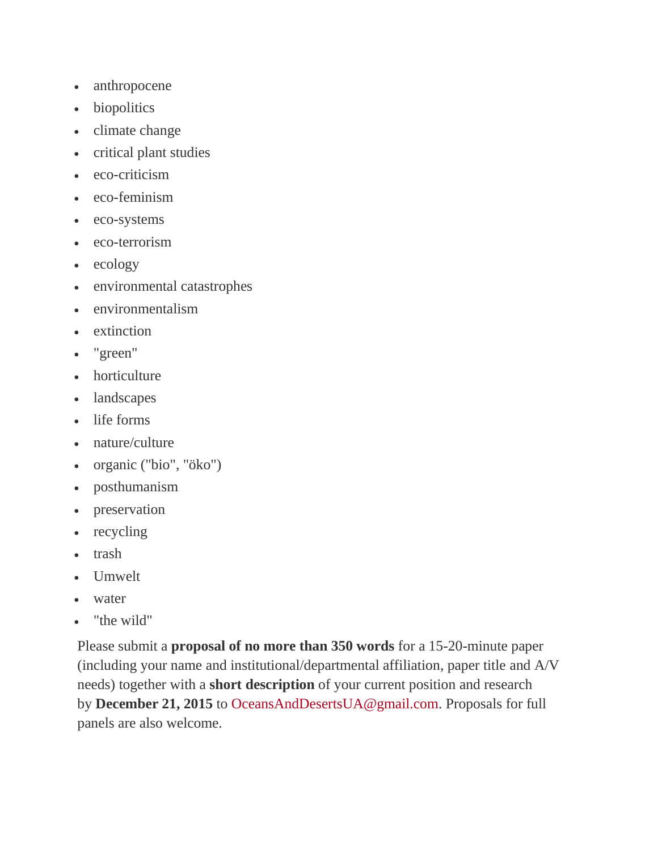- anthropocene
- biopolitics
- climate change
- critical plant studies
- eco-criticism
- eco-feminism
- eco-systems
- eco-terrorism
- $\bullet$  ecology
- environmental catastrophes
- environmentalism
- extinction
- "green"
- horticulture
- landscapes
- life forms
- nature/culture
- organic ("bio", "öko")
- posthumanism
- preservation
- recycling
- trash
- Umwelt
- water
- "the wild"

Please submit a **proposal of no more than 350 words** for a 15-20-minute paper (including your name and institutional/departmental affiliation, paper title and A/V needs) together with a **short description** of your current position and research by **December 21, 2015** to [OceansAndDesertsUA@gmail.com.](mailto:OceansAndDesertsUA@gmail.com) Proposals for full panels are also welcome.